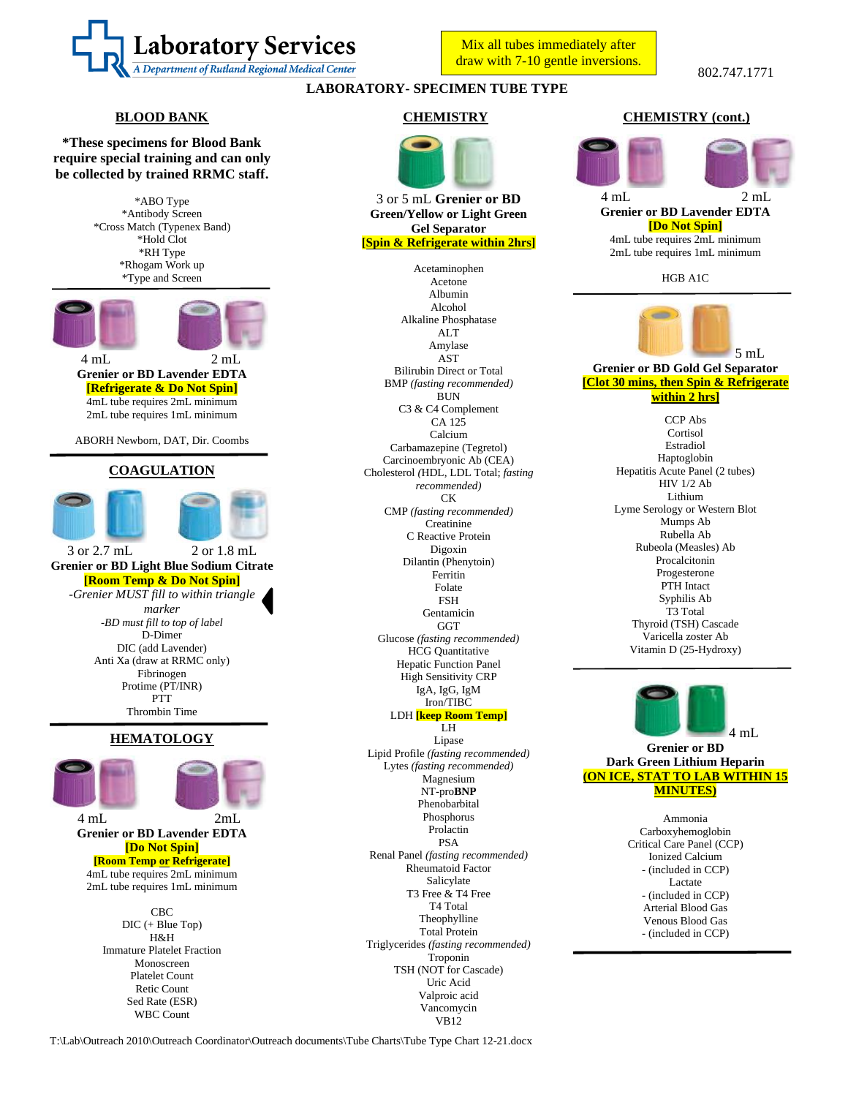

Mix all tubes immediately after draw with 7-10 gentle inversions.

# **LABORATORY- SPECIMEN TUBE TYPE**

## **BLOOD BANK**

**\*These specimens for Blood Bank require special training and can only be collected by trained RRMC staff.**

> \*ABO Type \*Antibody Screen \*Cross Match (Typenex Band) \*Hold Clot \*RH Type \*Rhogam Work up \*Type and Screen



#### 4 4 mL 2 mL **Grenier or BD Lavender EDTA [Refrigerate & Do Not Spin]** 4mL tube requires 2mL minimum 2mL tube requires 1mL minimum

ABORH Newborn, DAT, Dir. Coombs

## **COAGULATION**



3 3 or 2.7 mL 2 or 1.8 mL **Grenier or BD Light Blue Sodium Citrate [Room Temp & Do Not Spin]** *-Grenier MUST fill to within triangle marker -BD must fill to top of label* D-Dimer DIC (add Lavender) Anti Xa (draw at RRMC only) Fibrinogen Protime (PT/INR) **PTT** Thrombin Time

# **HEMATOLOGY**



4 4 mL 2mL **Grenier or BD Lavender EDTA [Do Not Spin]**

**[Room Temp or Refrigerate]** 4mL tube requires 2mL minimum 2mL tube requires 1mL minimum

> CBC DIC (+ Blue Top) H&H Immature Platelet Fraction Monoscreen Platelet Count Retic Count Sed Rate (ESR) WBC Count

### **CHEMISTRY**



3 or 5 mL **Grenier or BD Green/Yellow or Light Green Gel Separator [Spin & Refrigerate within 2hrs]**

Acetaminophen Acetone Albumin Alcohol Alkaline Phosphatase ALT Amylase AST Bilirubin Direct or Total BMP *(fasting recommended)* **BUN** C3 & C4 Complement CA 125 Calcium Carbamazepine (Tegretol) Carcinoembryonic Ab (CEA) Cholesterol *(*HDL, LDL Total; *fasting recommended)* CK CMP *(fasting recommended)* **Creatinine** C Reactive Protein Digoxin Dilantin (Phenytoin) Ferritin Folate FSH Gentamicin GGT Glucose *(fasting recommended)* HCG Quantitative Hepatic Function Panel High Sensitivity CRP IgA, IgG, IgM Iron/TIBC LDH **[keep Room Temp]** LH

Lipase Lipid Profile *(fasting recommended)* Lytes *(fasting recommended)* Magnesium NT-pro**BNP** Phenobarbital Phosphorus Prolactin PSA Renal Panel *(fasting recommended)* Rheumatoid Factor Salicylate T3 Free & T4 Free T4 Total **Theophylline** Total Protein Triglycerides *(fasting recommended)* Troponin TSH (NOT for Cascade) Uric Acid Valproic acid Vancomycin VB12

## **CHEMISTRY (cont.)**



HGB A1C



**within 2 hrs]**

CCP Abs Cortisol Estradiol Haptoglobin Hepatitis Acute Panel (2 tubes) HIV 1/2 Ab Lithium Lyme Serology or Western Blot Mumps Ab Rubella Ab Rubeola (Measles) Ab Procalcitonin Progesterone PTH Intact Syphilis Ab T3 Total Thyroid (TSH) Cascade Varicella zoster Ab Vitamin D (25-Hydroxy)



**Grenier or BD Dark Green Lithium Heparin (ON ICE, STAT TO LAB WITHIN 15 MINUTES)**

> Ammonia Carboxyhemoglobin Critical Care Panel (CCP) Ionized Calcium - (included in CCP) Lactate - (included in CCP) Arterial Blood Gas Venous Blood Gas - (included in CCP)

T:\Lab\Outreach 2010\Outreach Coordinator\Outreach documents\Tube Charts\Tube Type Chart 12-21.docx